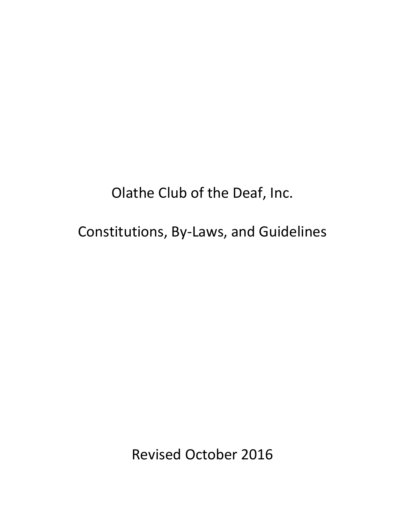Olathe Club of the Deaf, Inc.

Constitutions, By-Laws, and Guidelines

Revised October 2016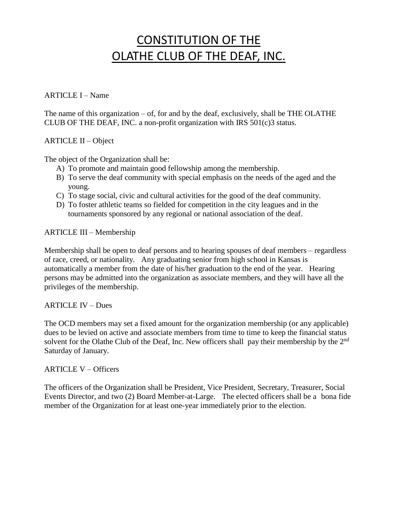## CONSTITUTION OF THE OLATHE CLUB OF THE DEAF, INC.

### ARTICLE I – Name

The name of this organization  $-$  of, for and by the deaf, exclusively, shall be THE OLATHE CLUB OF THE DEAF, INC. a non-profit organization with IRS 501(c)3 status.

## ARTICLE II – Object

The object of the Organization shall be:

- A) To promote and maintain good fellowship among the membership.
- B) To serve the deaf community with special emphasis on the needs of the aged and the young.
- C) To stage social, civic and cultural activities for the good of the deaf community.
- D) To foster athletic teams so fielded for competition in the city leagues and in the tournaments sponsored by any regional or national association of the deaf.

#### ARTICLE III – Membership

Membership shall be open to deaf persons and to hearing spouses of deaf members – regardless of race, creed, or nationality. Any graduating senior from high school in Kansas is automatically a member from the date of his/her graduation to the end of the year. Hearing persons may be admitted into the organization as associate members, and they will have all the privileges of the membership.

## ARTICLE IV – Dues

The OCD members may set a fixed amount for the organization membership (or any applicable) dues to be levied on active and associate members from time to time to keep the financial status solvent for the Olathe Club of the Deaf, Inc. New officers shall pay their membership by the 2<sup>nd</sup> Saturday of January.

#### ARTICLE V – Officers

The officers of the Organization shall be President, Vice President, Secretary, Treasurer, Social Events Director, and two (2) Board Member-at-Large. The elected officers shall be a bona fide member of the Organization for at least one-year immediately prior to the election.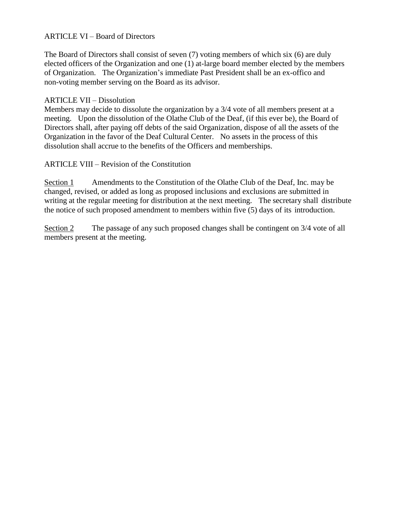## ARTICLE VI – Board of Directors

The Board of Directors shall consist of seven (7) voting members of which six (6) are duly elected officers of the Organization and one (1) at-large board member elected by the members of Organization. The Organization's immediate Past President shall be an ex-offico and non-voting member serving on the Board as its advisor.

## ARTICLE VII – Dissolution

Members may decide to dissolute the organization by a 3/4 vote of all members present at a meeting. Upon the dissolution of the Olathe Club of the Deaf, (if this ever be), the Board of Directors shall, after paying off debts of the said Organization, dispose of all the assets of the Organization in the favor of the Deaf Cultural Center. No assets in the process of this dissolution shall accrue to the benefits of the Officers and memberships.

## ARTICLE VIII – Revision of the Constitution

Section 1 Amendments to the Constitution of the Olathe Club of the Deaf, Inc. may be changed, revised, or added as long as proposed inclusions and exclusions are submitted in writing at the regular meeting for distribution at the next meeting. The secretary shall distribute the notice of such proposed amendment to members within five (5) days of its introduction.

Section 2 The passage of any such proposed changes shall be contingent on 3/4 vote of all members present at the meeting.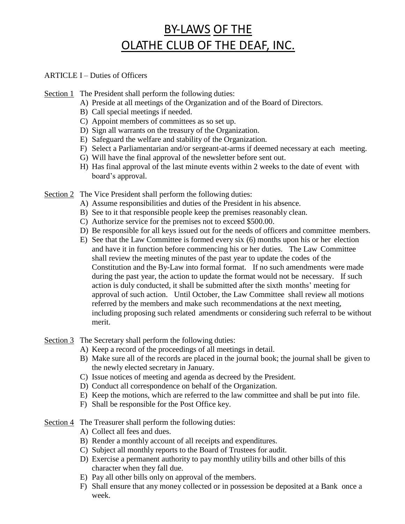# BY-LAWS OF THE OLATHE CLUB OF THE DEAF, INC.

#### ARTICLE I – Duties of Officers

Section 1 The President shall perform the following duties:

- A) Preside at all meetings of the Organization and of the Board of Directors.
- B) Call special meetings if needed.
- C) Appoint members of committees as so set up.
- D) Sign all warrants on the treasury of the Organization.
- E) Safeguard the welfare and stability of the Organization.
- F) Select a Parliamentarian and/or sergeant-at-arms if deemed necessary at each meeting.
- G) Will have the final approval of the newsletter before sent out.
- H) Has final approval of the last minute events within 2 weeks to the date of event with board's approval.

Section 2 The Vice President shall perform the following duties:

- A) Assume responsibilities and duties of the President in his absence.
- B) See to it that responsible people keep the premises reasonably clean.
- C) Authorize service for the premises not to exceed \$500.00.
- D) Be responsible for all keys issued out for the needs of officers and committee members.
- E) See that the Law Committee is formed every six (6) months upon his or her election and have it in function before commencing his or her duties. The Law Committee shall review the meeting minutes of the past year to update the codes of the Constitution and the By-Law into formal format. If no such amendments were made during the past year, the action to update the format would not be necessary. If such action is duly conducted, it shall be submitted after the sixth months' meeting for approval of such action. Until October, the Law Committee shall review all motions referred by the members and make such recommendations at the next meeting, including proposing such related amendments or considering such referral to be without merit.
- Section 3 The Secretary shall perform the following duties:
	- A) Keep a record of the proceedings of all meetings in detail.
	- B) Make sure all of the records are placed in the journal book; the journal shall be given to the newly elected secretary in January.
	- C) Issue notices of meeting and agenda as decreed by the President.
	- D) Conduct all correspondence on behalf of the Organization.
	- E) Keep the motions, which are referred to the law committee and shall be put into file.
	- F) Shall be responsible for the Post Office key.
- Section 4 The Treasurer shall perform the following duties:
	- A) Collect all fees and dues.
	- B) Render a monthly account of all receipts and expenditures.
	- C) Subject all monthly reports to the Board of Trustees for audit.
	- D) Exercise a permanent authority to pay monthly utility bills and other bills of this character when they fall due.
	- E) Pay all other bills only on approval of the members.
	- F) Shall ensure that any money collected or in possession be deposited at a Bank once a week.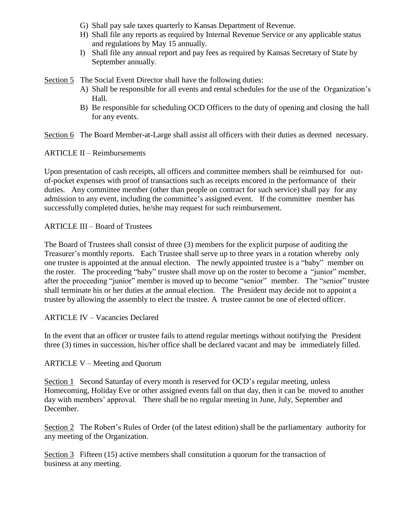- G) Shall pay sale taxes quarterly to Kansas Department of Revenue.
- H) Shall file any reports as required by Internal Revenue Service or any applicable status and regulations by May 15 annually.
- I) Shall file any annual report and pay fees as required by Kansas Secretary of State by September annually.

Section 5 The Social Event Director shall have the following duties:

- A) Shall be responsible for all events and rental schedules for the use of the Organization's Hall.
- B) Be responsible for scheduling OCD Officers to the duty of opening and closing the hall for any events.

Section 6 The Board Member-at-Large shall assist all officers with their duties as deemed necessary.

ARTICLE II – Reimbursements

Upon presentation of cash receipts, all officers and committee members shall be reimbursed for outof-pocket expenses with proof of transactions such as receipts encored in the performance of their duties. Any committee member (other than people on contract for such service) shall pay for any admission to any event, including the committee's assigned event. If the committee member has successfully completed duties, he/she may request for such reimbursement.

## ARTICLE III – Board of Trustees

The Board of Trustees shall consist of three (3) members for the explicit purpose of auditing the Treasurer's monthly reports. Each Trustee shall serve up to three years in a rotation whereby only one trustee is appointed at the annual election. The newly appointed trustee is a "baby" member on the roster. The proceeding "baby" trustee shall move up on the roster to become a "junior" member, after the proceeding "junior" member is moved up to become "senior" member. The "senior" trustee shall terminate his or her duties at the annual election. The President may decide not to appoint a trustee by allowing the assembly to elect the trustee. A trustee cannot be one of elected officer.

ARTICLE IV – Vacancies Declared

In the event that an officer or trustee fails to attend regular meetings without notifying the President three (3) times in succession, his/her office shall be declared vacant and may be immediately filled.

#### ARTICLE V – Meeting and Quorum

Section 1 Second Saturday of every month is reserved for OCD's regular meeting, unless Homecoming, Holiday Eve or other assigned events fall on that day, then it can be moved to another day with members' approval. There shall be no regular meeting in June, July, September and December.

Section 2 The Robert's Rules of Order (of the latest edition) shall be the parliamentary authority for any meeting of the Organization.

Section 3 Fifteen (15) active members shall constitution a quorum for the transaction of business at any meeting.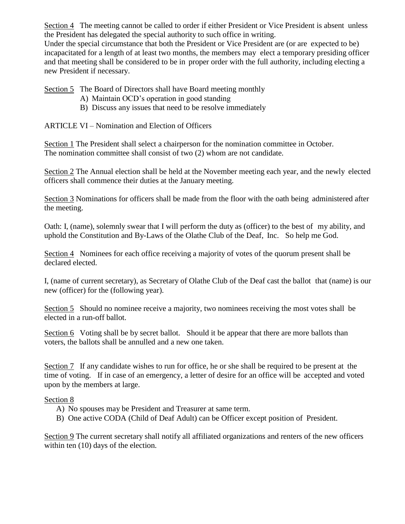Section 4 The meeting cannot be called to order if either President or Vice President is absent unless the President has delegated the special authority to such office in writing.

Under the special circumstance that both the President or Vice President are (or are expected to be) incapacitated for a length of at least two months, the members may elect a temporary presiding officer and that meeting shall be considered to be in proper order with the full authority, including electing a new President if necessary.

Section 5 The Board of Directors shall have Board meeting monthly

- A) Maintain OCD's operation in good standing
- B) Discuss any issues that need to be resolve immediately

ARTICLE VI – Nomination and Election of Officers

Section 1 The President shall select a chairperson for the nomination committee in October. The nomination committee shall consist of two (2) whom are not candidate.

Section 2 The Annual election shall be held at the November meeting each year, and the newly elected officers shall commence their duties at the January meeting.

Section 3 Nominations for officers shall be made from the floor with the oath being administered after the meeting.

Oath: I, (name), solemnly swear that I will perform the duty as (officer) to the best of my ability, and uphold the Constitution and By-Laws of the Olathe Club of the Deaf, Inc. So help me God.

Section 4 Nominees for each office receiving a majority of votes of the quorum present shall be declared elected.

I, (name of current secretary), as Secretary of Olathe Club of the Deaf cast the ballot that (name) is our new (officer) for the (following year).

Section 5 Should no nominee receive a majority, two nominees receiving the most votes shall be elected in a run-off ballot.

Section 6 Voting shall be by secret ballot. Should it be appear that there are more ballots than voters, the ballots shall be annulled and a new one taken.

Section 7 If any candidate wishes to run for office, he or she shall be required to be present at the time of voting. If in case of an emergency, a letter of desire for an office will be accepted and voted upon by the members at large.

## Section 8

- A) No spouses may be President and Treasurer at same term.
- B) One active CODA (Child of Deaf Adult) can be Officer except position of President.

Section 9 The current secretary shall notify all affiliated organizations and renters of the new officers within ten (10) days of the election.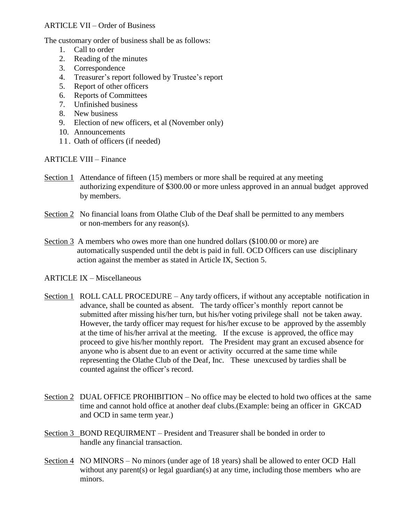#### ARTICLE VII – Order of Business

The customary order of business shall be as follows:

- 1. Call to order
- 2. Reading of the minutes
- 3. Correspondence
- 4. Treasurer's report followed by Trustee's report
- 5. Report of other officers
- 6. Reports of Committees
- 7. Unfinished business
- 8. New business
- 9. Election of new officers, et al (November only)
- 10. Announcements
- 11. Oath of officers (if needed)

ARTICLE VIII – Finance

- Section 1 Attendance of fifteen (15) members or more shall be required at any meeting authorizing expenditure of \$300.00 or more unless approved in an annual budget approved by members.
- Section 2 No financial loans from Olathe Club of the Deaf shall be permitted to any members or non-members for any reason(s).
- Section 3 A members who owes more than one hundred dollars (\$100.00 or more) are automatically suspended until the debt is paid in full. OCD Officers can use disciplinary action against the member as stated in Article IX, Section 5.

#### ARTICLE IX – Miscellaneous

- Section 1 ROLL CALL PROCEDURE Any tardy officers, if without any acceptable notification in advance, shall be counted as absent. The tardy officer's monthly report cannot be submitted after missing his/her turn, but his/her voting privilege shall not be taken away. However, the tardy officer may request for his/her excuse to be approved by the assembly at the time of his/her arrival at the meeting. If the excuse is approved, the office may proceed to give his/her monthly report. The President may grant an excused absence for anyone who is absent due to an event or activity occurred at the same time while representing the Olathe Club of the Deaf, Inc. These unexcused by tardies shall be counted against the officer's record.
- Section 2 DUAL OFFICE PROHIBITION No office may be elected to hold two offices at the same time and cannot hold office at another deaf clubs.(Example: being an officer in GKCAD and OCD in same term year.)
- Section 3 BOND REQUIRMENT President and Treasurer shall be bonded in order to handle any financial transaction.
- Section 4 NO MINORS No minors (under age of 18 years) shall be allowed to enter OCD Hall without any parent(s) or legal guardian(s) at any time, including those members who are minors.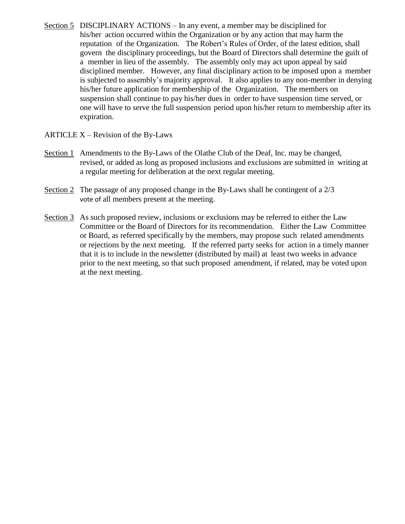- Section 5 DISCIPLINARY ACTIONS In any event, a member may be disciplined for his/her action occurred within the Organization or by any action that may harm the reputation of the Organization. The Robert's Rules of Order, of the latest edition, shall govern the disciplinary proceedings, but the Board of Directors shall determine the guilt of a member in lieu of the assembly. The assembly only may act upon appeal by said disciplined member. However, any final disciplinary action to be imposed upon a member is subjected to assembly's majority approval. It also applies to any non-member in denying his/her future application for membership of the Organization. The members on suspension shall continue to pay his/her dues in order to have suspension time served, or one will have to serve the full suspension period upon his/her return to membership after its expiration.
- ARTICLE  $X$  Revision of the By-Laws
- Section 1 Amendments to the By-Laws of the Olathe Club of the Deaf, Inc. may be changed, revised, or added as long as proposed inclusions and exclusions are submitted in writing at a regular meeting for deliberation at the next regular meeting.
- Section 2 The passage of any proposed change in the By-Laws shall be contingent of a 2/3 vote of all members present at the meeting.
- Section 3 As such proposed review, inclusions or exclusions may be referred to either the Law Committee or the Board of Directors for its recommendation. Either the Law Committee or Board, as referred specifically by the members, may propose such related amendments or rejections by the next meeting. If the referred party seeks for action in a timely manner that it is to include in the newsletter (distributed by mail) at least two weeks in advance prior to the next meeting, so that such proposed amendment, if related, may be voted upon at the next meeting.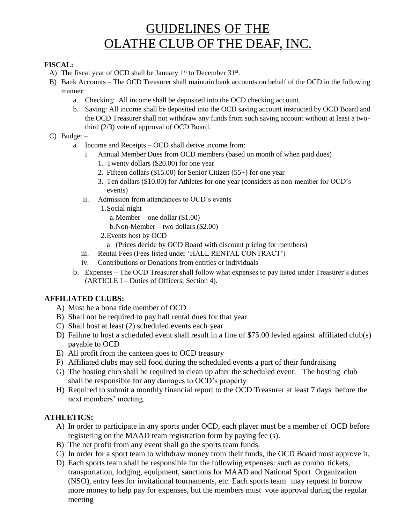## GUIDELINES OF THE OLATHE CLUB OF THE DEAF, INC.

#### **FISCAL:**

- A) The fiscal year of OCD shall be January  $1<sup>st</sup>$  to December 31 $<sup>st</sup>$ .</sup>
- B) Bank Accounts The OCD Treasurer shall maintain bank accounts on behalf of the OCD in the following manner:
	- a. Checking: All income shall be deposited into the OCD checking account.
	- b. Saving: All income shall be deposited into the OCD saving account instructed by OCD Board and the OCD Treasurer shall not withdraw any funds from such saving account without at least a twothird (2/3) vote of approval of OCD Board.
- C) Budget
	- a. Income and Receipts OCD shall derive income from:
		- i. Annual Member Dues from OCD members (based on month of when paid dues)
			- 1. Twenty dollars (\$20.00) for one year
			- 2. Fifteen dollars (\$15.00) for Senior Citizen (55+) for one year
			- 3. Ten dollars (\$10.00) for Athletes for one year (considers as non-member for OCD's events)
		- ii. Admission from attendances to OCD's events

1.Social night

- a.Member one dollar (\$1.00)
- b.Non-Member two dollars (\$2.00)
- 2.Events host by OCD
	- a. (Prices decide by OCD Board with discount pricing for members)
- iii. Rental Fees (Fees listed under 'HALL RENTAL CONTRACT')
- iv. Contributions or Donations from entities or individuals
- b. Expenses The OCD Treasurer shall follow what expenses to pay listed under Treasurer's duties (ARTICLE I – Duties of Officers; Section 4).

## **AFFILIATED CLUBS:**

- A) Must be a bona fide member of OCD
- B) Shall not be required to pay hall rental dues for that year
- C) Shall host at least (2) scheduled events each year
- D) Failure to host a scheduled event shall result in a fine of \$75.00 levied against affiliated club(s) payable to OCD
- E) All profit from the canteen goes to OCD treasury
- F) Affiliated clubs may sell food during the scheduled events a part of their fundraising
- G) The hosting club shall be required to clean up after the scheduled event. The hosting club shall be responsible for any damages to OCD's property
- H) Required to submit a monthly financial report to the OCD Treasurer at least 7 days before the next members' meeting.

## **ATHLETICS:**

- A) In order to participate in any sports under OCD, each player must be a member of OCD before registering on the MAAD team registration form by paying fee (s).
- B) The net profit from any event shall go the sports team funds.
- C) In order for a sport team to withdraw money from their funds, the OCD Board must approve it.
- D) Each sports team shall be responsible for the following expenses: such as combo tickets, transportation, lodging, equipment, sanctions for MAAD and National Sport Organization (NSO), entry fees for invitational tournaments, etc. Each sports team may request to borrow more money to help pay for expenses, but the members must vote approval during the regular meeting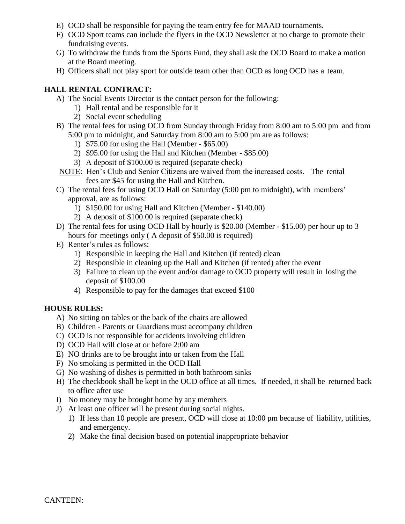- E) OCD shall be responsible for paying the team entry fee for MAAD tournaments.
- F) OCD Sport teams can include the flyers in the OCD Newsletter at no charge to promote their fundraising events.
- G) To withdraw the funds from the Sports Fund, they shall ask the OCD Board to make a motion at the Board meeting.
- H) Officers shall not play sport for outside team other than OCD as long OCD has a team.

## **HALL RENTAL CONTRACT:**

- A) The Social Events Director is the contact person for the following:
	- 1) Hall rental and be responsible for it
	- 2) Social event scheduling
- B) The rental fees for using OCD from Sunday through Friday from 8:00 am to 5:00 pm and from 5:00 pm to midnight, and Saturday from 8:00 am to 5:00 pm are as follows:
	- 1) \$75.00 for using the Hall (Member \$65.00)
	- 2) \$95.00 for using the Hall and Kitchen (Member \$85.00)
	- 3) A deposit of \$100.00 is required (separate check)
- NOTE: Hen's Club and Senior Citizens are waived from the increased costs. The rental fees are \$45 for using the Hall and Kitchen.
- C) The rental fees for using OCD Hall on Saturday (5:00 pm to midnight), with members' approval, are as follows:
	- 1) \$150.00 for using Hall and Kitchen (Member \$140.00)
	- 2) A deposit of \$100.00 is required (separate check)
- D) The rental fees for using OCD Hall by hourly is \$20.00 (Member \$15.00) per hour up to 3 hours for meetings only ( A deposit of \$50.00 is required)
- E) Renter's rules as follows:
	- 1) Responsible in keeping the Hall and Kitchen (if rented) clean
	- 2) Responsible in cleaning up the Hall and Kitchen (if rented) after the event
	- 3) Failure to clean up the event and/or damage to OCD property will result in losing the deposit of \$100.00
	- 4) Responsible to pay for the damages that exceed \$100

## **HOUSE RULES:**

- A) No sitting on tables or the back of the chairs are allowed
- B) Children Parents or Guardians must accompany children
- C) OCD is not responsible for accidents involving children
- D) OCD Hall will close at or before 2:00 am
- E) NO drinks are to be brought into or taken from the Hall
- F) No smoking is permitted in the OCD Hall
- G) No washing of dishes is permitted in both bathroom sinks
- H) The checkbook shall be kept in the OCD office at all times. If needed, it shall be returned back to office after use
- I) No money may be brought home by any members
- J) At least one officer will be present during social nights.
	- 1) If less than 10 people are present, OCD will close at 10:00 pm because of liability, utilities, and emergency.
	- 2) Make the final decision based on potential inappropriate behavior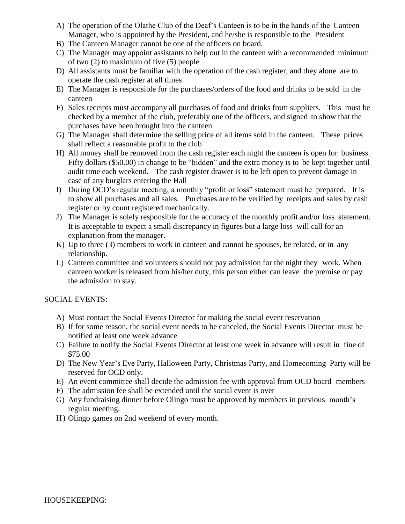- A) The operation of the Olathe Club of the Deaf's Canteen is to be in the hands of the Canteen Manager, who is appointed by the President, and he/she is responsible to the President
- B) The Canteen Manager cannot be one of the officers on board.
- C) The Manager may appoint assistants to help out in the canteen with a recommended minimum of two (2) to maximum of five (5) people
- D) All assistants must be familiar with the operation of the cash register, and they alone are to operate the cash register at all times
- E) The Manager is responsible for the purchases/orders of the food and drinks to be sold in the canteen
- F) Sales receipts must accompany all purchases of food and drinks from suppliers. This must be checked by a member of the club, preferably one of the officers, and signed to show that the purchases have been brought into the canteen
- G) The Manager shall determine the selling price of all items sold in the canteen. These prices shall reflect a reasonable profit to the club
- H) All money shall be removed from the cash register each night the canteen is open for business. Fifty dollars (\$50.00) in change to be "hidden" and the extra money is to be kept together until audit time each weekend. The cash register drawer is to be left open to prevent damage in case of any burglars entering the Hall
- I) During OCD's regular meeting, a monthly "profit or loss" statement must be prepared. It is to show all purchases and all sales. Purchases are to be verified by receipts and sales by cash register or by count registered mechanically.
- J) The Manager is solely responsible for the accuracy of the monthly profit and/or loss statement. It is acceptable to expect a small discrepancy in figures but a large loss will call for an explanation from the manager.
- K) Up to three (3) members to work in canteen and cannot be spouses, be related, or in any relationship.
- L) Canteen committee and volunteers should not pay admission for the night they work. When canteen worker is released from his/her duty, this person either can leave the premise or pay the admission to stay.

## SOCIAL EVENTS:

- A) Must contact the Social Events Director for making the social event reservation
- B) If for some reason, the social event needs to be canceled, the Social Events Director must be notified at least one week advance
- C) Failure to notify the Social Events Director at least one week in advance will result in fine of \$75.00
- D) The New Year's Eve Party, Halloween Party, Christmas Party, and Homecoming Party will be reserved for OCD only.
- E) An event committee shall decide the admission fee with approval from OCD board members
- F) The admission fee shall be extended until the social event is over
- G) Any fundraising dinner before Olingo must be approved by members in previous month's regular meeting.
- H) Olingo games on 2nd weekend of every month.